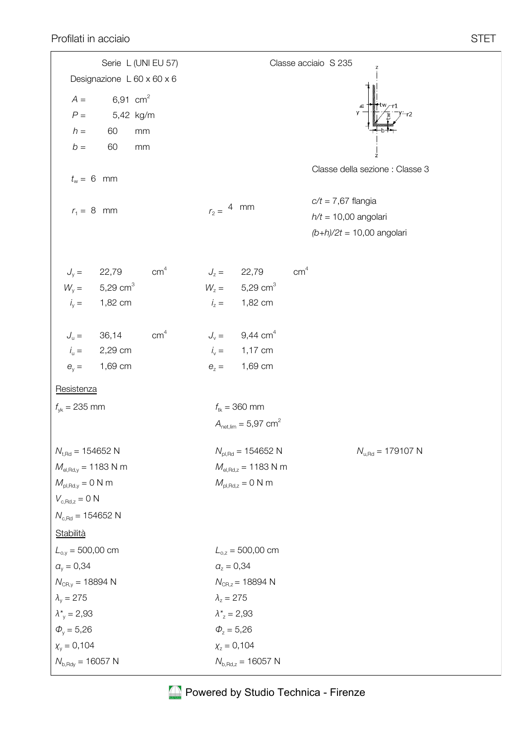| Classe acciaio S 235                                                           |                                                                                                                                                                                                         |
|--------------------------------------------------------------------------------|---------------------------------------------------------------------------------------------------------------------------------------------------------------------------------------------------------|
|                                                                                |                                                                                                                                                                                                         |
|                                                                                |                                                                                                                                                                                                         |
|                                                                                |                                                                                                                                                                                                         |
|                                                                                |                                                                                                                                                                                                         |
|                                                                                |                                                                                                                                                                                                         |
| Classe della sezione : Classe 3                                                |                                                                                                                                                                                                         |
| $c/t = 7,67$ flangia                                                           |                                                                                                                                                                                                         |
| $h/t = 10,00$ angolari                                                         |                                                                                                                                                                                                         |
| $(b+h)/2t = 10,00$ angolari                                                    |                                                                                                                                                                                                         |
| cm <sup>4</sup><br>$J_z = 22,79$                                               |                                                                                                                                                                                                         |
| $W_z = 5,29$ cm <sup>3</sup>                                                   |                                                                                                                                                                                                         |
| $i_z = 1,82$ cm                                                                |                                                                                                                                                                                                         |
| $J_v = 9,44$ cm <sup>4</sup>                                                   |                                                                                                                                                                                                         |
| $i_v = 1,17$ cm                                                                |                                                                                                                                                                                                         |
|                                                                                |                                                                                                                                                                                                         |
|                                                                                |                                                                                                                                                                                                         |
| $f_{\text{tk}} = 360 \text{ mm}$                                               |                                                                                                                                                                                                         |
| $A_{\text{net,lim}} = 5.97 \text{ cm}^2$                                       |                                                                                                                                                                                                         |
| $N_{u, \text{Rd}} = 179107 \text{ N}$<br>$N_{\text{pl,Rd}} = 154652 \text{ N}$ |                                                                                                                                                                                                         |
| $M_{el, Rd, z} = 1183$ N m                                                     |                                                                                                                                                                                                         |
|                                                                                |                                                                                                                                                                                                         |
|                                                                                |                                                                                                                                                                                                         |
|                                                                                |                                                                                                                                                                                                         |
|                                                                                |                                                                                                                                                                                                         |
|                                                                                |                                                                                                                                                                                                         |
|                                                                                |                                                                                                                                                                                                         |
|                                                                                |                                                                                                                                                                                                         |
|                                                                                |                                                                                                                                                                                                         |
|                                                                                |                                                                                                                                                                                                         |
| $X_z = 0,104$                                                                  |                                                                                                                                                                                                         |
| $N_{b, Rd, z} = 16057$ N                                                       |                                                                                                                                                                                                         |
|                                                                                | $r_2 =$ 4 mm<br>$e_z = 1,69$ cm<br>$M_{\text{pl,Rd},z} = 0$ N m<br>$L_{0,z} = 500,00$ cm<br>$a_z = 0,34$<br>$N_{CR, z} = 18894 N$<br>$\lambda_z = 275$<br>$\lambda_{z}^{*} = 2,93$<br>$\Phi_{z} = 5,26$ |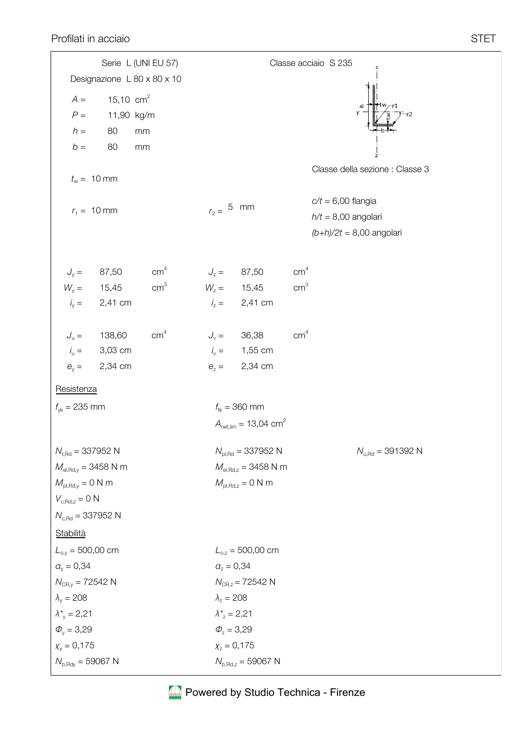|                                       |             | Serie L (UNI EU 57)         |                                           |                                       |                 | Classe acciaio S 235<br>Z             |  |  |  |  |
|---------------------------------------|-------------|-----------------------------|-------------------------------------------|---------------------------------------|-----------------|---------------------------------------|--|--|--|--|
|                                       |             | Designazione L 80 x 80 x 10 |                                           |                                       |                 |                                       |  |  |  |  |
| $A =$                                 | 15,10 $cm2$ |                             |                                           |                                       |                 |                                       |  |  |  |  |
| ${\cal P}$ $=$                        | 11,90 kg/m  |                             |                                           |                                       |                 |                                       |  |  |  |  |
| $h =$                                 | 80          | $\rm mm$                    |                                           |                                       |                 |                                       |  |  |  |  |
| $b =$                                 | 80          | mm                          |                                           |                                       |                 |                                       |  |  |  |  |
|                                       |             |                             |                                           |                                       |                 | z<br>Classe della sezione : Classe 3  |  |  |  |  |
| $t_w = 10$ mm                         |             |                             |                                           |                                       |                 |                                       |  |  |  |  |
|                                       |             |                             |                                           |                                       |                 | $c/t = 6,00$ flangia                  |  |  |  |  |
| $r_1 = 10$ mm                         |             |                             | $r_2 = 5$ mm                              |                                       |                 | $h/t = 8,00$ angolari                 |  |  |  |  |
|                                       |             |                             |                                           |                                       |                 | $(b+h)/2t = 8,00$ angolari            |  |  |  |  |
|                                       |             |                             |                                           |                                       |                 |                                       |  |  |  |  |
| $J_y = 87,50$                         |             | cm <sup>4</sup>             | $J_z =$                                   | 87,50                                 | cm <sup>4</sup> |                                       |  |  |  |  |
| $W_{y} =$                             | 15,45       | cm <sup>3</sup>             |                                           | $W_z = 15,45$                         | cm <sup>3</sup> |                                       |  |  |  |  |
| $i_y =$                               | 2,41 cm     |                             | $i_z =$                                   | 2,41 cm                               |                 |                                       |  |  |  |  |
|                                       |             |                             |                                           |                                       |                 |                                       |  |  |  |  |
| $J_{\mathrm{u}} =$                    | 138,60      | cm <sup>4</sup>             | $J_{\rm v} =$                             | 36,38                                 | cm <sup>4</sup> |                                       |  |  |  |  |
| $i_{\rm u} =$                         | 3,03 cm     |                             | $i_{v} =$                                 | 1,55 cm                               |                 |                                       |  |  |  |  |
| $\theta_{v} =$                        | 2,34 cm     |                             | $\theta_z =$                              | 2,34 cm                               |                 |                                       |  |  |  |  |
| Resistenza                            |             |                             |                                           |                                       |                 |                                       |  |  |  |  |
| $f_{\text{vk}} = 235 \text{ mm}$      |             |                             | $f_{tk} = 360$ mm                         |                                       |                 |                                       |  |  |  |  |
|                                       |             |                             | $A_{\text{net,lim}} = 13,04 \text{ cm}^2$ |                                       |                 |                                       |  |  |  |  |
|                                       |             |                             |                                           |                                       |                 |                                       |  |  |  |  |
| $N_{t, Rd} = 337952 N$                |             |                             |                                           | $N_{\text{pl,Rd}} = 337952 \text{ N}$ |                 | $N_{u, \text{Rd}} = 391392 \text{ N}$ |  |  |  |  |
| $M_{el, Rd,y} = 3458$ N m             |             |                             |                                           | $M_{el, Rd, z} = 3458$ N m            |                 |                                       |  |  |  |  |
| $M_{\text{pl,Rd,y}} = 0 \text{ N m}$  |             |                             |                                           | $M_{\text{pl,Rd},z} = 0$ N m          |                 |                                       |  |  |  |  |
| $V_{c, Rd, z} = 0 N$                  |             |                             |                                           |                                       |                 |                                       |  |  |  |  |
| $N_{c, \text{Rd}} = 337952 \text{ N}$ |             |                             |                                           |                                       |                 |                                       |  |  |  |  |
| Stabilità                             |             |                             |                                           |                                       |                 |                                       |  |  |  |  |
| $L_{o,y} = 500,00$ cm                 |             |                             |                                           | $L_{0,z} = 500,00$ cm                 |                 |                                       |  |  |  |  |
| $a_v = 0,34$                          |             |                             | $a_z = 0,34$                              |                                       |                 |                                       |  |  |  |  |
| $N_{CR,y} = 72542$ N                  |             |                             |                                           | $N_{CR, z} = 72542$ N                 |                 |                                       |  |  |  |  |
| $\lambda_{\rm v} = 208$               |             |                             | $\lambda_z = 208$                         |                                       |                 |                                       |  |  |  |  |
| $\lambda^* = 2,21$                    |             |                             | $\lambda_z^* = 2,21$                      |                                       |                 |                                       |  |  |  |  |
| $\Phi_{v} = 3,29$                     |             |                             | $\Phi_z = 3,29$                           |                                       |                 |                                       |  |  |  |  |
| $X_v = 0,175$                         |             |                             |                                           | $X_z = 0,175$                         |                 |                                       |  |  |  |  |
| $N_{\rm b, Rdy} = 59067 \text{ N}$    |             |                             |                                           | $N_{\rm b, Rd, z} = 59067 \text{ N}$  |                 |                                       |  |  |  |  |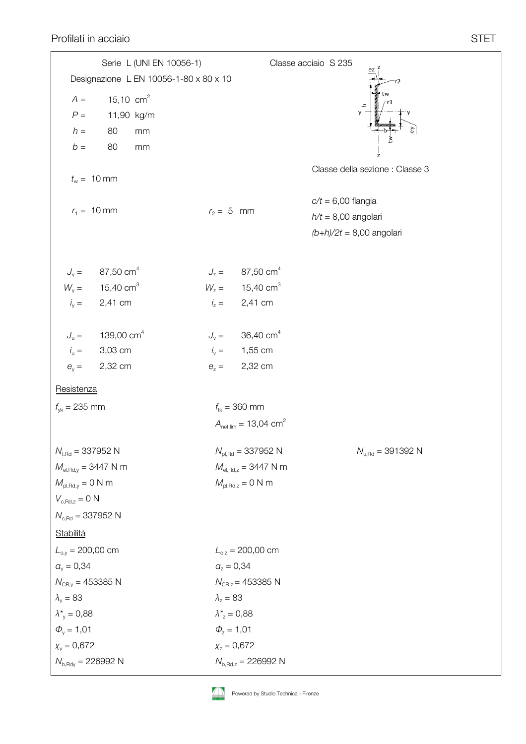Profilati in acciaio STET

Designazione L EN 10056-1-80 x 80 x 10 Serie L (UNI EN 10056-1)  $A = 15,10 \text{ cm}^2$ *P* = 11,90 kg/m *h* = 80 mm  $b = 80$  mm  $t_w = 10$  mm  $r_1 = 10$  mm  $r_2 = 5$  mm Classe acciaio S 235 Classe della sezione : Classe 3 *c/t* = 6,00 flangia *h/t* = 8,00 angolari *(b+h)/2t* = 8,00 angolari  $f_{\nu k} = 235 \text{ mm}$  *f*<sub>tk</sub> = 360 mm  $A_{\text{net lim}} = 13,04 \text{ cm}^2$  $N_{\text{H,Rd}} = 337952 \text{ N}$   $N_{\text{H-Rd}} = 337952 \text{ N}$   $N_{\text{H-Rd}} = 391392 \text{ N}$  $M_{el, Rd, y} = 3447 N m$  *M*<sub>el,Rd,z</sub> = 3447 N m  $M_{\text{pl,Rd},y} = 0 \text{ N m}$  *M*<sub>pl,Rd,z</sub> = 0 N m  $V_{c,Rd,z} = 0$  N  $N_{c,Rd} = 337952$  N **Resistenza Stabilità**  $a_y = 0,34$  $N_{CR,v} = 453385$  N  $\lambda_{\rm v} = 83$ *λ\**y = 0,88  $\Phi_{v} = 1,01$ *χ*y = 0,672  $N_{b, Rdv} = 226992$  N  $L_{o.v}$  = 200,00 cm  $a_z = 0.34$  $N_{CR,z}$  = 453385 N  $\lambda$ <sub>z</sub> = 83 *λ\**z = 0,88  $\Phi$ <sub>z</sub> = 1,01 *χ*z = 0,672 *N*b,Rd,z = 226992 N  $L_{0z} = 200,00$  cm  $J_v = 87,50 \text{ cm}^4$  $W_v = 15,40 \text{ cm}^3$ *i*  $i_y = 2,41$  cm  $J_{\text{u}} = 139,00 \text{ cm}^4$ *i*  $i_{\rm u} = 3,03 \text{ cm}$ *e*y = 2,32 cm  $J_z = 87,50 \text{ cm}^4$  $W_z = 15,40 \text{ cm}^3$ *i*  $i_z = 2,41$  cm  $J_v = 36,40 \text{ cm}^4$ *i*  $i_v = 1,55$  cm  $e_z = 2,32 \text{ cm}$ 

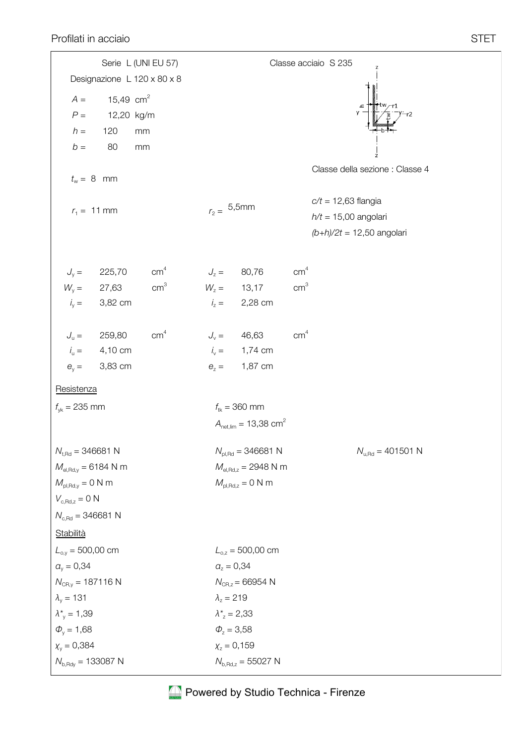|                                               | Serie L (UNI EU 57)         |                 |                                           |                                           | Classe acciaio S 235  |                                       |  |  |  |  |
|-----------------------------------------------|-----------------------------|-----------------|-------------------------------------------|-------------------------------------------|-----------------------|---------------------------------------|--|--|--|--|
|                                               | Designazione L 120 x 80 x 8 |                 |                                           |                                           |                       |                                       |  |  |  |  |
| $A =$                                         | 15,49 $cm2$                 |                 |                                           |                                           |                       |                                       |  |  |  |  |
| $P =$                                         | 12,20 kg/m                  |                 |                                           |                                           |                       |                                       |  |  |  |  |
| $h =$                                         | 120<br>mm                   |                 |                                           |                                           |                       |                                       |  |  |  |  |
| $b =$                                         | 80<br>mm                    |                 |                                           |                                           |                       |                                       |  |  |  |  |
| $t_w = 8$ mm                                  |                             |                 |                                           |                                           |                       | Classe della sezione : Classe 4       |  |  |  |  |
| $r_1 = 11$ mm                                 |                             | $r_2 = 5,5$ mm  |                                           |                                           | $c/t = 12,63$ flangia |                                       |  |  |  |  |
|                                               |                             |                 |                                           |                                           |                       | $h/t = 15,00$ angolari                |  |  |  |  |
|                                               |                             |                 |                                           |                                           |                       | $(b+h)/2t = 12,50$ angolari           |  |  |  |  |
|                                               | $J_{y} = 225,70$            | cm <sup>4</sup> | $J_z = 80,76$                             |                                           | cm <sup>4</sup>       |                                       |  |  |  |  |
| $W_{y} = 27,63$                               |                             | cm <sup>3</sup> | $W_z = 13,17$                             |                                           | cm <sup>3</sup>       |                                       |  |  |  |  |
| $i_y =$                                       | 3,82 cm                     |                 |                                           | $i_z = 2,28$ cm                           |                       |                                       |  |  |  |  |
| $J_{\rm u} =$                                 | 259,80                      | cm <sup>4</sup> | $J_v = 46,63$                             |                                           | cm <sup>4</sup>       |                                       |  |  |  |  |
|                                               | $i_u = 4,10 \text{ cm}$     |                 |                                           | $i_v = 1,74$ cm                           |                       |                                       |  |  |  |  |
| $\theta_{v} =$                                | 3,83 cm                     |                 | $\theta_z =$                              | 1,87 cm                                   |                       |                                       |  |  |  |  |
| Resistenza                                    |                             |                 |                                           |                                           |                       |                                       |  |  |  |  |
| $f_{\text{vk}} = 235 \text{ mm}$              |                             |                 | $f_{\text{tk}} = 360 \text{ mm}$          |                                           |                       |                                       |  |  |  |  |
|                                               |                             |                 |                                           | $A_{\text{net,lim}} = 13,38 \text{ cm}^2$ |                       |                                       |  |  |  |  |
| $N_{t, Rd} = 346681$ N                        |                             |                 |                                           | $N_{\text{pl,Rd}} = 346681 \text{ N}$     |                       | $N_{u, \text{Rd}} = 401501 \text{ N}$ |  |  |  |  |
| $M_{el, Rd,y} = 6184 N m$                     |                             |                 |                                           | $M_{el, Rd, z} = 2948$ N m                |                       |                                       |  |  |  |  |
| $M_{\text{pl,Rd},y}=0$ N m                    |                             |                 |                                           | $M_{\text{pl,Rd,z}} = 0 \text{ N m}$      |                       |                                       |  |  |  |  |
| $V_{c, Rd, z} = 0 N$                          |                             |                 |                                           |                                           |                       |                                       |  |  |  |  |
| $N_{c, \text{Rd}} = 346681 \text{ N}$         |                             |                 |                                           |                                           |                       |                                       |  |  |  |  |
| Stabilità                                     |                             |                 |                                           |                                           |                       |                                       |  |  |  |  |
| $L_{o,y} = 500,00$ cm                         |                             |                 |                                           | $L_{0,z} = 500,00$ cm                     |                       |                                       |  |  |  |  |
| $a_v = 0,34$                                  |                             |                 | $a_z = 0,34$                              |                                           |                       |                                       |  |  |  |  |
| $N_{CR,y} = 187116 N$                         |                             |                 |                                           | $N_{CR, z} = 66954 N$                     |                       |                                       |  |  |  |  |
| $\lambda_{v}$ = 131<br>$\lambda^*_{v} = 1,39$ |                             |                 | $\lambda_z = 219$<br>$\lambda_z^* = 2,33$ |                                           |                       |                                       |  |  |  |  |
| $\Phi_{v} = 1,68$                             |                             |                 | $\Phi_{z} = 3,58$                         |                                           |                       |                                       |  |  |  |  |
| $X_v = 0,384$                                 |                             |                 | $X_z = 0,159$                             |                                           |                       |                                       |  |  |  |  |
| $N_{\rm b, Rdy} = 133087 \text{ N}$           |                             |                 |                                           | $N_{\rm b, Rd, z} = 55027$ N              |                       |                                       |  |  |  |  |
|                                               |                             |                 |                                           |                                           |                       |                                       |  |  |  |  |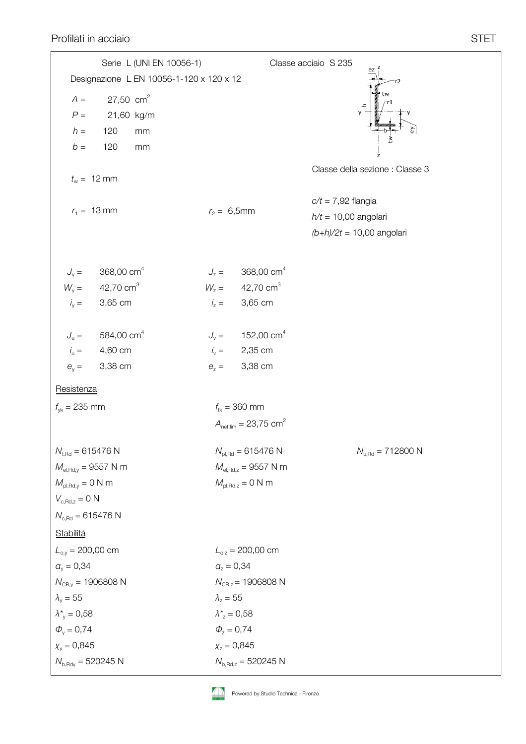Profilati in acciaio in acciaio structurale de la contrada de la seconda de la seconda de la seconda de STET

| Designazione L EN 10056-1-120 x 120 x 12<br>27,50 $cm2$<br>$A =$<br>у<br>$P =$<br>21,60 kg/m<br>$h =$<br>120<br>mm<br>120<br>$b =$<br>mm<br>Classe della sezione : Classe 3<br>$t_w = 12 \text{ mm}$<br>$c/t = 7,92$ flangia<br>$r_1 = 13 \text{ mm}$<br>$r_2 = 6,5$ mm<br>$h/t = 10,00$ angolari<br>$(b+h)/2t = 10,00$ angolari<br>368,00 cm <sup>4</sup><br>$J_z = 368,00 \text{ cm}^4$<br>$J_{y} =$<br>$W_y = 42,70 \text{ cm}^3$<br>$W_z = 42,70 \text{ cm}^3$<br>$i_y =$<br>$i_z = 3,65$ cm<br>3,65 cm<br>584,00 cm <sup>4</sup><br>$J_v = 152,00 \text{ cm}^4$<br>$J_{\rm u} =$<br>$i_{\rm u} =$<br>$i_v = 2,35$ cm<br>4,60 cm<br>$\theta_{y} =$<br>3,38 cm<br>3,38 cm<br>$\theta_z =$<br>Resistenza<br>$f_{tk} = 360$ mm<br>$f_{\text{vk}} = 235 \text{ mm}$<br>$A_{\text{net,lim}} = 23{,}75 \text{ cm}^2$<br>$N_{u, \text{Rd}} = 712800 \text{ N}$<br>$N_{t, Rd} = 615476 N$<br>$N_{\text{pl,Rd}} = 615476 \text{ N}$<br>$M_{el, Rd,y} = 9557 N m$<br>$M_{el, Rd, z} = 9557 N m$<br>$M_{\text{pl,Rd,z}} = 0$ N m<br>$M_{\text{pl,Rd},y} = 0$ N m<br>$V_{c, Rd, z} = 0 N$<br>$N_{c, Rd} = 615476 N$<br><b>Stabilità</b><br>$L_{o,y} = 200,00$ cm<br>$L_{0,z} = 200,00$ cm<br>$a_v = 0,34$<br>$a_z = 0,34$<br>$N_{CR,z}$ = 1906808 N<br>$N_{\text{CR,v}} = 1906808 \text{ N}$<br>$\lambda_{\rm v} = 55$<br>$\lambda_z = 55$<br>$\lambda^*_{v} = 0,58$<br>$\lambda_z^* = 0.58$<br>$\Phi_{v} = 0.74$<br>$\Phi_{z} = 0.74$<br>$X_z = 0,845$<br>$X_v = 0,845$<br>$N_{b, Rdy} = 520245$ N<br>$N_{b, Rd, z} = 520245 N$ | Serie L (UNI EN 10056-1) |  | Classe acciaio S 235<br>ez |
|--------------------------------------------------------------------------------------------------------------------------------------------------------------------------------------------------------------------------------------------------------------------------------------------------------------------------------------------------------------------------------------------------------------------------------------------------------------------------------------------------------------------------------------------------------------------------------------------------------------------------------------------------------------------------------------------------------------------------------------------------------------------------------------------------------------------------------------------------------------------------------------------------------------------------------------------------------------------------------------------------------------------------------------------------------------------------------------------------------------------------------------------------------------------------------------------------------------------------------------------------------------------------------------------------------------------------------------------------------------------------------------------------------------------------------------------------------------------------------------------------------------------------|--------------------------|--|----------------------------|
|                                                                                                                                                                                                                                                                                                                                                                                                                                                                                                                                                                                                                                                                                                                                                                                                                                                                                                                                                                                                                                                                                                                                                                                                                                                                                                                                                                                                                                                                                                                          |                          |  |                            |
|                                                                                                                                                                                                                                                                                                                                                                                                                                                                                                                                                                                                                                                                                                                                                                                                                                                                                                                                                                                                                                                                                                                                                                                                                                                                                                                                                                                                                                                                                                                          |                          |  |                            |
|                                                                                                                                                                                                                                                                                                                                                                                                                                                                                                                                                                                                                                                                                                                                                                                                                                                                                                                                                                                                                                                                                                                                                                                                                                                                                                                                                                                                                                                                                                                          |                          |  |                            |
|                                                                                                                                                                                                                                                                                                                                                                                                                                                                                                                                                                                                                                                                                                                                                                                                                                                                                                                                                                                                                                                                                                                                                                                                                                                                                                                                                                                                                                                                                                                          |                          |  |                            |
|                                                                                                                                                                                                                                                                                                                                                                                                                                                                                                                                                                                                                                                                                                                                                                                                                                                                                                                                                                                                                                                                                                                                                                                                                                                                                                                                                                                                                                                                                                                          |                          |  |                            |
|                                                                                                                                                                                                                                                                                                                                                                                                                                                                                                                                                                                                                                                                                                                                                                                                                                                                                                                                                                                                                                                                                                                                                                                                                                                                                                                                                                                                                                                                                                                          |                          |  |                            |
|                                                                                                                                                                                                                                                                                                                                                                                                                                                                                                                                                                                                                                                                                                                                                                                                                                                                                                                                                                                                                                                                                                                                                                                                                                                                                                                                                                                                                                                                                                                          |                          |  |                            |
|                                                                                                                                                                                                                                                                                                                                                                                                                                                                                                                                                                                                                                                                                                                                                                                                                                                                                                                                                                                                                                                                                                                                                                                                                                                                                                                                                                                                                                                                                                                          |                          |  |                            |
|                                                                                                                                                                                                                                                                                                                                                                                                                                                                                                                                                                                                                                                                                                                                                                                                                                                                                                                                                                                                                                                                                                                                                                                                                                                                                                                                                                                                                                                                                                                          |                          |  |                            |
|                                                                                                                                                                                                                                                                                                                                                                                                                                                                                                                                                                                                                                                                                                                                                                                                                                                                                                                                                                                                                                                                                                                                                                                                                                                                                                                                                                                                                                                                                                                          |                          |  |                            |
|                                                                                                                                                                                                                                                                                                                                                                                                                                                                                                                                                                                                                                                                                                                                                                                                                                                                                                                                                                                                                                                                                                                                                                                                                                                                                                                                                                                                                                                                                                                          |                          |  |                            |
|                                                                                                                                                                                                                                                                                                                                                                                                                                                                                                                                                                                                                                                                                                                                                                                                                                                                                                                                                                                                                                                                                                                                                                                                                                                                                                                                                                                                                                                                                                                          |                          |  |                            |
|                                                                                                                                                                                                                                                                                                                                                                                                                                                                                                                                                                                                                                                                                                                                                                                                                                                                                                                                                                                                                                                                                                                                                                                                                                                                                                                                                                                                                                                                                                                          |                          |  |                            |
|                                                                                                                                                                                                                                                                                                                                                                                                                                                                                                                                                                                                                                                                                                                                                                                                                                                                                                                                                                                                                                                                                                                                                                                                                                                                                                                                                                                                                                                                                                                          |                          |  |                            |
|                                                                                                                                                                                                                                                                                                                                                                                                                                                                                                                                                                                                                                                                                                                                                                                                                                                                                                                                                                                                                                                                                                                                                                                                                                                                                                                                                                                                                                                                                                                          |                          |  |                            |
|                                                                                                                                                                                                                                                                                                                                                                                                                                                                                                                                                                                                                                                                                                                                                                                                                                                                                                                                                                                                                                                                                                                                                                                                                                                                                                                                                                                                                                                                                                                          |                          |  |                            |
|                                                                                                                                                                                                                                                                                                                                                                                                                                                                                                                                                                                                                                                                                                                                                                                                                                                                                                                                                                                                                                                                                                                                                                                                                                                                                                                                                                                                                                                                                                                          |                          |  |                            |
|                                                                                                                                                                                                                                                                                                                                                                                                                                                                                                                                                                                                                                                                                                                                                                                                                                                                                                                                                                                                                                                                                                                                                                                                                                                                                                                                                                                                                                                                                                                          |                          |  |                            |
|                                                                                                                                                                                                                                                                                                                                                                                                                                                                                                                                                                                                                                                                                                                                                                                                                                                                                                                                                                                                                                                                                                                                                                                                                                                                                                                                                                                                                                                                                                                          |                          |  |                            |
|                                                                                                                                                                                                                                                                                                                                                                                                                                                                                                                                                                                                                                                                                                                                                                                                                                                                                                                                                                                                                                                                                                                                                                                                                                                                                                                                                                                                                                                                                                                          |                          |  |                            |
|                                                                                                                                                                                                                                                                                                                                                                                                                                                                                                                                                                                                                                                                                                                                                                                                                                                                                                                                                                                                                                                                                                                                                                                                                                                                                                                                                                                                                                                                                                                          |                          |  |                            |
|                                                                                                                                                                                                                                                                                                                                                                                                                                                                                                                                                                                                                                                                                                                                                                                                                                                                                                                                                                                                                                                                                                                                                                                                                                                                                                                                                                                                                                                                                                                          |                          |  |                            |
|                                                                                                                                                                                                                                                                                                                                                                                                                                                                                                                                                                                                                                                                                                                                                                                                                                                                                                                                                                                                                                                                                                                                                                                                                                                                                                                                                                                                                                                                                                                          |                          |  |                            |
|                                                                                                                                                                                                                                                                                                                                                                                                                                                                                                                                                                                                                                                                                                                                                                                                                                                                                                                                                                                                                                                                                                                                                                                                                                                                                                                                                                                                                                                                                                                          |                          |  |                            |
|                                                                                                                                                                                                                                                                                                                                                                                                                                                                                                                                                                                                                                                                                                                                                                                                                                                                                                                                                                                                                                                                                                                                                                                                                                                                                                                                                                                                                                                                                                                          |                          |  |                            |
|                                                                                                                                                                                                                                                                                                                                                                                                                                                                                                                                                                                                                                                                                                                                                                                                                                                                                                                                                                                                                                                                                                                                                                                                                                                                                                                                                                                                                                                                                                                          |                          |  |                            |
|                                                                                                                                                                                                                                                                                                                                                                                                                                                                                                                                                                                                                                                                                                                                                                                                                                                                                                                                                                                                                                                                                                                                                                                                                                                                                                                                                                                                                                                                                                                          |                          |  |                            |
|                                                                                                                                                                                                                                                                                                                                                                                                                                                                                                                                                                                                                                                                                                                                                                                                                                                                                                                                                                                                                                                                                                                                                                                                                                                                                                                                                                                                                                                                                                                          |                          |  |                            |
|                                                                                                                                                                                                                                                                                                                                                                                                                                                                                                                                                                                                                                                                                                                                                                                                                                                                                                                                                                                                                                                                                                                                                                                                                                                                                                                                                                                                                                                                                                                          |                          |  |                            |
|                                                                                                                                                                                                                                                                                                                                                                                                                                                                                                                                                                                                                                                                                                                                                                                                                                                                                                                                                                                                                                                                                                                                                                                                                                                                                                                                                                                                                                                                                                                          |                          |  |                            |
|                                                                                                                                                                                                                                                                                                                                                                                                                                                                                                                                                                                                                                                                                                                                                                                                                                                                                                                                                                                                                                                                                                                                                                                                                                                                                                                                                                                                                                                                                                                          |                          |  |                            |
|                                                                                                                                                                                                                                                                                                                                                                                                                                                                                                                                                                                                                                                                                                                                                                                                                                                                                                                                                                                                                                                                                                                                                                                                                                                                                                                                                                                                                                                                                                                          |                          |  |                            |
|                                                                                                                                                                                                                                                                                                                                                                                                                                                                                                                                                                                                                                                                                                                                                                                                                                                                                                                                                                                                                                                                                                                                                                                                                                                                                                                                                                                                                                                                                                                          |                          |  |                            |
|                                                                                                                                                                                                                                                                                                                                                                                                                                                                                                                                                                                                                                                                                                                                                                                                                                                                                                                                                                                                                                                                                                                                                                                                                                                                                                                                                                                                                                                                                                                          |                          |  |                            |
|                                                                                                                                                                                                                                                                                                                                                                                                                                                                                                                                                                                                                                                                                                                                                                                                                                                                                                                                                                                                                                                                                                                                                                                                                                                                                                                                                                                                                                                                                                                          |                          |  |                            |

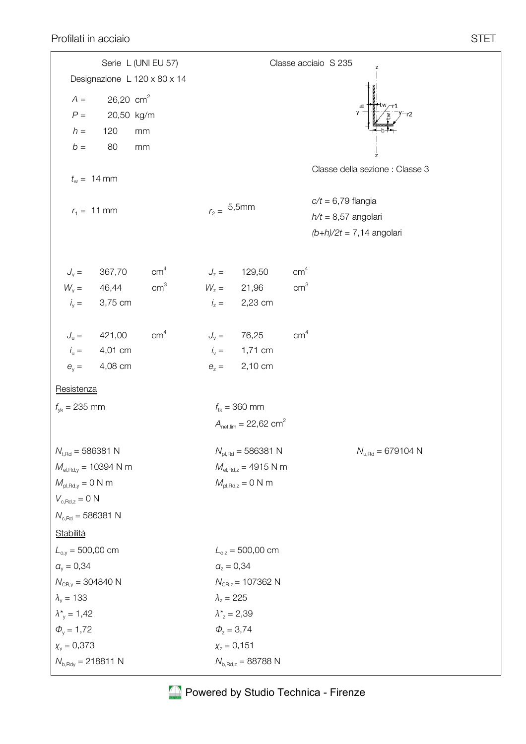|                                              |                         | Serie L (UNI EU 57)          |                          |                                           |                 | Classe acciaio S 235<br>Z             |
|----------------------------------------------|-------------------------|------------------------------|--------------------------|-------------------------------------------|-----------------|---------------------------------------|
|                                              |                         | Designazione L 120 x 80 x 14 |                          |                                           |                 |                                       |
| $A =$                                        | $26,20$ cm <sup>2</sup> |                              |                          |                                           |                 |                                       |
| $P =$                                        | 20,50 kg/m              |                              |                          |                                           |                 |                                       |
| $h =$                                        | 120                     | mm                           |                          |                                           |                 |                                       |
| $b =$                                        | 80                      | $\rm mm$                     |                          |                                           |                 |                                       |
| $t_w = 14$ mm                                |                         |                              |                          |                                           |                 | Classe della sezione : Classe 3       |
|                                              |                         |                              | $r_2 = 5,5$ mm           |                                           |                 | $c/t = 6,79$ flangia                  |
| $r_1 = 11$ mm                                |                         |                              |                          |                                           |                 | $h/t = 8,57$ angolari                 |
|                                              |                         |                              |                          |                                           |                 | $(b+h)/2t = 7,14$ angolari            |
|                                              | $J_y = 367,70$          | cm <sup>4</sup>              | $J_z =$                  | 129,50                                    | cm <sup>4</sup> |                                       |
| $W_{y} =$                                    | 46,44                   | cm <sup>3</sup>              | $W_z = 21,96$            |                                           | cm <sup>3</sup> |                                       |
| $i_y =$                                      | 3,75 cm                 |                              | $i_z =$                  | 2,23 cm                                   |                 |                                       |
| $J_{\rm u} =$                                | 421,00                  | cm <sup>4</sup>              | $J_{v} =$                | 76,25                                     | cm <sup>4</sup> |                                       |
| $i_{\rm u} =$                                | 4,01 cm                 |                              | $i_{v} =$                | 1,71 cm                                   |                 |                                       |
| $\theta_{v} =$                               | 4,08 cm                 |                              | $\theta_z =$             | 2,10 cm                                   |                 |                                       |
| Resistenza                                   |                         |                              |                          |                                           |                 |                                       |
| $f_{\text{vk}} = 235 \text{ mm}$             |                         |                              | $f_{tk} = 360$ mm        |                                           |                 |                                       |
|                                              |                         |                              |                          | $A_{\text{net,lim}} = 22,62 \text{ cm}^2$ |                 |                                       |
| $N_{t, Rd} = 586381 N$                       |                         |                              |                          | $N_{\text{pl,Rd}} = 586381 \text{ N}$     |                 | $N_{u, \text{Rd}} = 679104 \text{ N}$ |
| $M_{el, Rd,y} = 10394$ N m                   |                         |                              |                          | $M_{el, Rd, z} = 4915 N m$                |                 |                                       |
| $M_{\text{pl,Rd},y} = 0$ N m                 |                         |                              |                          | $M_{\text{pl,Rd,z}} = 0$ N m              |                 |                                       |
| $V_{\rm c,Rd,z}=0$ N                         |                         |                              |                          |                                           |                 |                                       |
| $N_{c, Rd} = 586381 N$                       |                         |                              |                          |                                           |                 |                                       |
| Stabilità                                    |                         |                              |                          |                                           |                 |                                       |
| $L_{o,y} = 500,00$ cm                        |                         |                              |                          | $L_{0,z} = 500,00$ cm                     |                 |                                       |
| $a_v = 0,34$                                 |                         |                              | $a_{7} = 0,34$           |                                           |                 |                                       |
| $N_{CR,y} = 304840 N$<br>$\lambda_{v}$ = 133 |                         |                              | $\lambda_z = 225$        | $N_{CR, z}$ = 107362 N                    |                 |                                       |
| $\lambda^*_{v} = 1,42$                       |                         |                              | $\lambda_{z}^{*} = 2,39$ |                                           |                 |                                       |
| $\Phi_{v} = 1,72$                            |                         |                              | $\Phi_{z} = 3,74$        |                                           |                 |                                       |
| $X_v = 0,373$                                |                         |                              | $X_z = 0,151$            |                                           |                 |                                       |
| $N_{b, Rdy} = 218811 N$                      |                         |                              |                          | $N_{b, Rd, z} = 88788$ N                  |                 |                                       |
|                                              |                         |                              |                          |                                           |                 |                                       |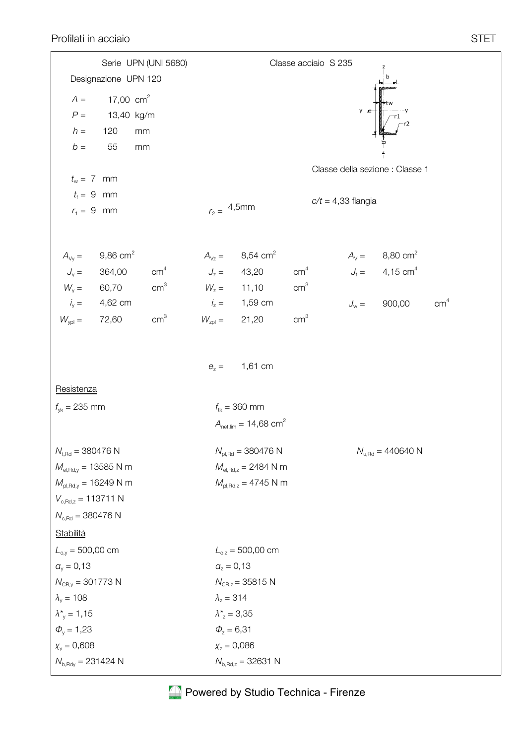|                                          |                        | Serie UPN (UNI 5680) |                                  |                                           | Classe acciaio S 235 |                                       |                                                              |                 |  |
|------------------------------------------|------------------------|----------------------|----------------------------------|-------------------------------------------|----------------------|---------------------------------------|--------------------------------------------------------------|-----------------|--|
|                                          | Designazione UPN 120   |                      |                                  |                                           |                      |                                       |                                                              |                 |  |
| $A =$                                    | 17,00 $cm2$            |                      |                                  |                                           |                      |                                       |                                                              |                 |  |
| $P =$                                    | 13,40 kg/m             |                      |                                  |                                           |                      | y c                                   |                                                              |                 |  |
| $h =$                                    | 120                    | mm                   |                                  |                                           |                      |                                       |                                                              |                 |  |
| $b =$                                    | 55                     | mm                   |                                  |                                           |                      |                                       |                                                              |                 |  |
|                                          |                        |                      |                                  |                                           |                      | Classe della sezione : Classe 1       |                                                              |                 |  |
| $t_w = 7$ mm                             |                        |                      |                                  |                                           |                      |                                       |                                                              |                 |  |
| $t_f = 9$ mm                             |                        |                      |                                  |                                           |                      | $c/t = 4,33$ flangia                  |                                                              |                 |  |
| $r_1 = 9$ mm                             |                        |                      | $r_2 = 4,5$ mm                   |                                           |                      |                                       |                                                              |                 |  |
|                                          |                        |                      |                                  |                                           |                      |                                       |                                                              |                 |  |
| $A_{\vee y} =$                           | $9,86$ cm <sup>2</sup> |                      |                                  | $A_{\text{Vz}} = 8,54 \text{ cm}^2$       |                      |                                       |                                                              |                 |  |
| $J_{y} = 364,00$                         |                        | cm <sup>4</sup>      | $J_z = 43,20$                    |                                           | cm <sup>4</sup>      |                                       | $A_V =$ 8,80 cm <sup>2</sup><br>$J_t =$ 4,15 cm <sup>4</sup> |                 |  |
| $W_{y} = 60,70$                          |                        | cm <sup>3</sup>      |                                  | $W_z = 11,10$                             | cm <sup>3</sup>      |                                       |                                                              |                 |  |
|                                          | $i_y = 4,62$ cm        |                      |                                  | $i_z = 1,59$ cm                           |                      |                                       | $J_w = 900,00$                                               | cm <sup>4</sup> |  |
| $W_{ypl} =$                              | 72,60                  | cm <sup>3</sup>      | $W_{zpl} = 21,20$                |                                           | cm <sup>3</sup>      |                                       |                                                              |                 |  |
|                                          |                        |                      |                                  |                                           |                      |                                       |                                                              |                 |  |
|                                          |                        |                      |                                  |                                           |                      |                                       |                                                              |                 |  |
|                                          |                        |                      | $\theta_z =$                     | 1,61 cm                                   |                      |                                       |                                                              |                 |  |
| Resistenza                               |                        |                      |                                  |                                           |                      |                                       |                                                              |                 |  |
| $f_{\gamma k} = 235$ mm                  |                        |                      | $f_{\text{tk}} = 360 \text{ mm}$ |                                           |                      |                                       |                                                              |                 |  |
|                                          |                        |                      |                                  | $A_{\text{net lim}} = 14,68 \text{ cm}^2$ |                      |                                       |                                                              |                 |  |
|                                          |                        |                      |                                  |                                           |                      |                                       |                                                              |                 |  |
| $N_{t, Rd} = 380476$ N                   |                        |                      |                                  | $N_{\text{pl,Rd}} = 380476 \text{ N}$     |                      | $N_{u, \text{Rd}} = 440640 \text{ N}$ |                                                              |                 |  |
| $M_{el, Rd,y} = 13585$ N m               |                        |                      |                                  | $M_{el, Rd, z} = 2484$ N m                |                      |                                       |                                                              |                 |  |
| $M_{\text{pl,Rd,y}} = 16249 \text{ N m}$ |                        |                      |                                  | $M_{\text{pl,Rd,z}} = 4745 \text{ N m}$   |                      |                                       |                                                              |                 |  |
| $V_{c, Rd, z} = 113711 N$                |                        |                      |                                  |                                           |                      |                                       |                                                              |                 |  |
| $N_{c, \text{Rd}} = 380476 \text{ N}$    |                        |                      |                                  |                                           |                      |                                       |                                                              |                 |  |
| Stabilità                                |                        |                      |                                  |                                           |                      |                                       |                                                              |                 |  |
| $L_{o,y} = 500,00$ cm                    |                        |                      |                                  | $L_{0,z} = 500,00$ cm                     |                      |                                       |                                                              |                 |  |
| $a_v = 0,13$                             |                        |                      | $a_z = 0,13$                     |                                           |                      |                                       |                                                              |                 |  |
| $N_{CR,y} = 301773$ N                    |                        |                      |                                  | $N_{CR,z} = 35815$ N                      |                      |                                       |                                                              |                 |  |
| $\lambda_{v} = 108$                      |                        |                      | $\lambda_z = 314$                |                                           |                      |                                       |                                                              |                 |  |
| $\lambda^*_{v} = 1,15$                   |                        |                      | $\lambda_{z}^{*} = 3,35$         |                                           |                      |                                       |                                                              |                 |  |
| $\Phi_{v} = 1,23$                        |                        |                      | $\Phi_z = 6,31$                  |                                           |                      |                                       |                                                              |                 |  |
| $X_v = 0,608$                            |                        |                      | $X_z = 0,086$                    |                                           |                      |                                       |                                                              |                 |  |
| $N_{\rm b, Rdy} = 231424 \text{ N}$      |                        |                      |                                  | $N_{b, Rd, z} = 32631 N$                  |                      |                                       |                                                              |                 |  |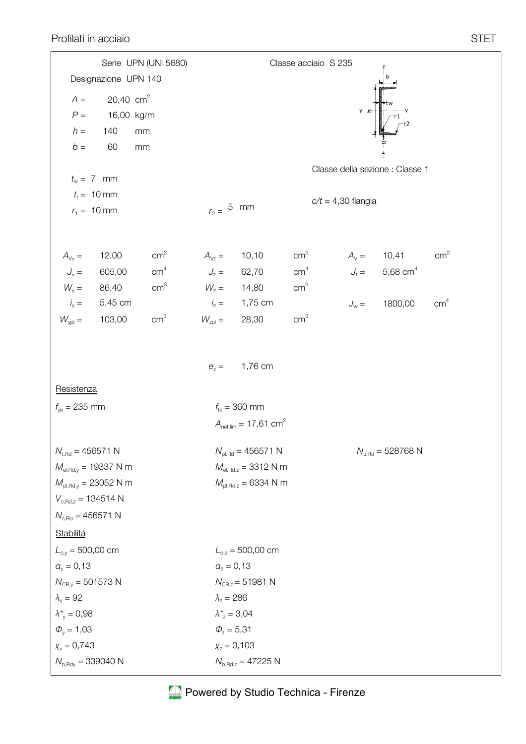|                                          |                      | Serie UPN (UNI 5680) |                          |                                           | Classe acciaio S 235 |                                       |                                 |                 |  |  |
|------------------------------------------|----------------------|----------------------|--------------------------|-------------------------------------------|----------------------|---------------------------------------|---------------------------------|-----------------|--|--|
|                                          | Designazione UPN 140 |                      |                          |                                           |                      |                                       |                                 |                 |  |  |
| $A =$                                    | 20,40 $cm2$          |                      |                          |                                           |                      |                                       |                                 |                 |  |  |
| $P =$                                    | 16,00 kg/m           |                      |                          |                                           |                      | ء y                                   |                                 |                 |  |  |
| $h =$                                    | 140                  | mm                   |                          |                                           |                      |                                       |                                 |                 |  |  |
| $b =$                                    | 60                   | $\rm mm$             |                          |                                           |                      |                                       |                                 |                 |  |  |
|                                          |                      |                      |                          |                                           |                      |                                       | Classe della sezione : Classe 1 |                 |  |  |
| $t_w = 7$ mm                             |                      |                      |                          |                                           |                      |                                       |                                 |                 |  |  |
| $t_{\rm f} = 10 \, \rm mm$               |                      |                      |                          |                                           |                      | $c/t = 4,30$ flangia                  |                                 |                 |  |  |
| $r_1 = 10$ mm                            |                      |                      | $r_2 = 5$ mm             |                                           |                      |                                       |                                 |                 |  |  |
|                                          |                      |                      |                          |                                           |                      |                                       |                                 |                 |  |  |
| $A_{\vee y} =$                           | 12,00                | cm <sup>2</sup>      | $A_{Vz} =$               | 10,10                                     | cm <sup>2</sup>      | $A_v = 10,41$                         |                                 | cm <sup>2</sup> |  |  |
| $J_{y} =$                                | 605,00               | cm <sup>4</sup>      | $J_z = 62,70$            |                                           | cm <sup>4</sup>      |                                       | $J_t = 5,68$ cm <sup>4</sup>    |                 |  |  |
| $W_{y} =$                                | 86,40                | cm <sup>3</sup>      | $W_z = 14,80$            |                                           | cm <sup>3</sup>      |                                       |                                 |                 |  |  |
|                                          | $i_y = 5,45$ cm      |                      |                          | $i_z = 1,75$ cm                           |                      | $J_{\rm w} =$                         | 1800,00                         | cm <sup>4</sup> |  |  |
| $W_{\text{ypl}} =$                       | 103,00               | $\text{cm}^3$        | $W_{\text{zpl}} =$       | 28,30                                     | cm <sup>3</sup>      |                                       |                                 |                 |  |  |
|                                          |                      |                      |                          |                                           |                      |                                       |                                 |                 |  |  |
|                                          |                      |                      |                          |                                           |                      |                                       |                                 |                 |  |  |
|                                          |                      |                      | $\theta_z =$             | 1,76 cm                                   |                      |                                       |                                 |                 |  |  |
| Resistenza                               |                      |                      |                          |                                           |                      |                                       |                                 |                 |  |  |
| $f_{\gamma k} = 235$ mm                  |                      |                      | $f_{tk} = 360$ mm        |                                           |                      |                                       |                                 |                 |  |  |
|                                          |                      |                      |                          | $A_{\text{net,lim}} = 17,61 \text{ cm}^2$ |                      |                                       |                                 |                 |  |  |
|                                          |                      |                      |                          |                                           |                      |                                       |                                 |                 |  |  |
| $N_{t, Rd} = 456571 N$                   |                      |                      |                          | $N_{\text{pl,Rd}} = 456571 \text{ N}$     |                      | $N_{u, \text{Rd}} = 528768 \text{ N}$ |                                 |                 |  |  |
| $M_{el, Rd, y} = 19337 N m$              |                      |                      |                          | $M_{el, Rd, z} = 3312$ N m                |                      |                                       |                                 |                 |  |  |
| $M_{\text{pl,Rd,y}} = 23052 \text{ N m}$ |                      |                      |                          | $M_{\text{pl,Rd},z} = 6334 \text{ N m}$   |                      |                                       |                                 |                 |  |  |
| $V_{c, Rd, z} = 134514 N$                |                      |                      |                          |                                           |                      |                                       |                                 |                 |  |  |
| $N_{c, \text{Rd}} = 456571 \text{ N}$    |                      |                      |                          |                                           |                      |                                       |                                 |                 |  |  |
| Stabilità                                |                      |                      |                          |                                           |                      |                                       |                                 |                 |  |  |
| $L_{o,y} = 500,00$ cm                    |                      |                      |                          | $L_{0,z} = 500,00$ cm                     |                      |                                       |                                 |                 |  |  |
| $a_v = 0,13$                             |                      |                      | $a_z = 0,13$             |                                           |                      |                                       |                                 |                 |  |  |
| $N_{CR,y} = 501573$ N                    |                      |                      |                          | $N_{CR, z} = 51981 N$                     |                      |                                       |                                 |                 |  |  |
| $\lambda_{v} = 92$                       |                      |                      | $\lambda_z = 286$        |                                           |                      |                                       |                                 |                 |  |  |
| $\lambda^*_{v} = 0.98$                   |                      |                      | $\lambda_{z}^{*} = 3.04$ |                                           |                      |                                       |                                 |                 |  |  |
| $\Phi_{v} = 1,03$                        |                      |                      | $\Phi_z = 5,31$          |                                           |                      |                                       |                                 |                 |  |  |
| $X_v = 0,743$                            |                      |                      | $X_z = 0,103$            |                                           |                      |                                       |                                 |                 |  |  |
| $N_{b, Rdy} = 339040$ N                  |                      |                      |                          | $N_{b, Rd, z} = 47225 N$                  |                      |                                       |                                 |                 |  |  |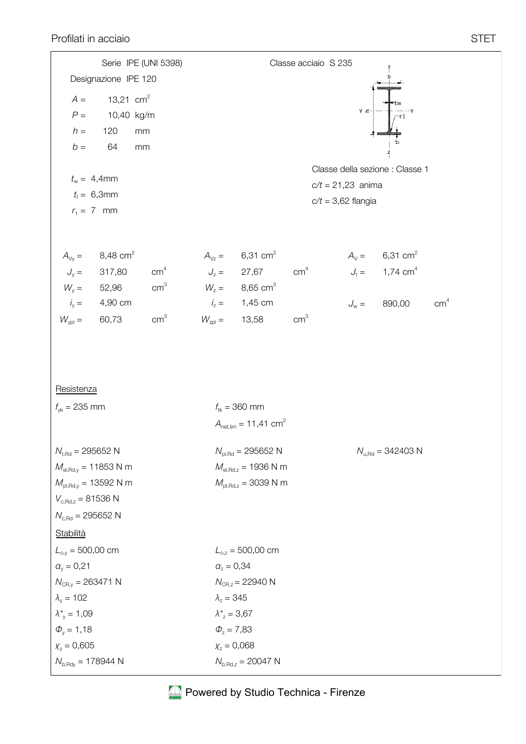|                                     |                                                   | Serie IPE (UNI 5398)          | Classe acciaio S 235                 |                                              |                 |                                                                              |                                       |                 |  |  |  |
|-------------------------------------|---------------------------------------------------|-------------------------------|--------------------------------------|----------------------------------------------|-----------------|------------------------------------------------------------------------------|---------------------------------------|-----------------|--|--|--|
|                                     | Designazione IPE 120                              |                               |                                      |                                              |                 |                                                                              |                                       |                 |  |  |  |
| $A =$                               | 13,21 $\text{cm}^2$                               |                               |                                      |                                              |                 |                                                                              |                                       |                 |  |  |  |
| $P =$                               | 10,40 kg/m                                        |                               |                                      |                                              |                 | y c                                                                          |                                       |                 |  |  |  |
| $h =$                               | 120                                               | mm                            |                                      |                                              |                 |                                                                              |                                       |                 |  |  |  |
| $b =$                               | 64                                                | mm                            |                                      |                                              |                 |                                                                              |                                       |                 |  |  |  |
|                                     |                                                   |                               |                                      |                                              |                 |                                                                              | Classe della sezione : Classe 1       |                 |  |  |  |
|                                     | $t_w = 4,4$ mm                                    |                               | $c/t = 21,23$ anima                  |                                              |                 |                                                                              |                                       |                 |  |  |  |
|                                     | $t_{\rm f} = 6,3$ mm                              |                               |                                      |                                              |                 | $c/t = 3,62$ flangia                                                         |                                       |                 |  |  |  |
|                                     | $r_1 = 7$ mm                                      |                               |                                      |                                              |                 |                                                                              |                                       |                 |  |  |  |
|                                     |                                                   |                               |                                      |                                              |                 |                                                                              |                                       |                 |  |  |  |
|                                     |                                                   |                               |                                      | $A_{vz} = 6,31 \text{ cm}^2$                 |                 |                                                                              |                                       |                 |  |  |  |
|                                     | $A_{vy} =$ 8,48 cm <sup>2</sup><br>$J_y =$ 317,80 | cm <sup>4</sup> $J_z = 27,67$ |                                      |                                              |                 | $A_V =$ 6,31 cm <sup>2</sup><br>cm <sup>4</sup> $J_t =$ 1,74 cm <sup>4</sup> |                                       |                 |  |  |  |
|                                     | $W_{y} = 52,96$                                   |                               |                                      | cm <sup>3</sup> $W_z = 8,65$ cm <sup>3</sup> |                 |                                                                              |                                       |                 |  |  |  |
|                                     | $i_y = 4,90 \text{ cm}$                           |                               |                                      | $i_z = 1,45$ cm                              |                 |                                                                              | $J_w = 890,00$                        | cm <sup>4</sup> |  |  |  |
| $W_{\text{ypl}} = 60,73$            |                                                   | cm <sup>3</sup>               | $W_{\text{zpl}} = 13,58$             |                                              | cm <sup>3</sup> |                                                                              |                                       |                 |  |  |  |
|                                     |                                                   |                               |                                      |                                              |                 |                                                                              |                                       |                 |  |  |  |
|                                     |                                                   |                               |                                      |                                              |                 |                                                                              |                                       |                 |  |  |  |
| Resistenza                          |                                                   |                               |                                      |                                              |                 |                                                                              |                                       |                 |  |  |  |
| $f_{\rm vk} = 235$ mm               |                                                   |                               |                                      | $f_{\text{tk}} = 360 \text{ mm}$             |                 |                                                                              |                                       |                 |  |  |  |
|                                     |                                                   |                               |                                      | $A_{\text{net lim}} = 11,41 \text{ cm}^2$    |                 |                                                                              |                                       |                 |  |  |  |
|                                     |                                                   |                               |                                      |                                              |                 |                                                                              |                                       |                 |  |  |  |
| $N_{t, Rd} = 295652 N$              |                                                   |                               |                                      | $N_{\text{pl,Rd}} = 295652 \text{ N}$        |                 |                                                                              | $N_{u, \text{Rd}} = 342403 \text{ N}$ |                 |  |  |  |
|                                     | $M_{\text{el,Rd},y}$ = 11853 N m                  |                               |                                      | $M_{el, Rd, z} = 1936$ N m                   |                 |                                                                              |                                       |                 |  |  |  |
|                                     | $M_{\text{pl,Rd},y}$ = 13592 N m                  |                               |                                      | $M_{\text{pl,Rd,z}} = 3039 \text{ N m}$      |                 |                                                                              |                                       |                 |  |  |  |
| $V_{c, Rd, z} = 81536 N$            |                                                   |                               |                                      |                                              |                 |                                                                              |                                       |                 |  |  |  |
| $N_{c, Rd} = 295652 N$              |                                                   |                               |                                      |                                              |                 |                                                                              |                                       |                 |  |  |  |
| <b>Stabilità</b>                    |                                                   |                               |                                      |                                              |                 |                                                                              |                                       |                 |  |  |  |
| $L_{o,y} = 500,00$ cm               |                                                   |                               |                                      | $L_{0,z} = 500,00$ cm                        |                 |                                                                              |                                       |                 |  |  |  |
| $a_v = 0,21$                        |                                                   |                               | $a_z = 0,34$                         |                                              |                 |                                                                              |                                       |                 |  |  |  |
| $N_{CR,y} = 263471$ N               |                                                   |                               | $N_{CR, z} = 22940$ N                |                                              |                 |                                                                              |                                       |                 |  |  |  |
| $\lambda_{\rm y}$ = 102             |                                                   |                               | $\lambda_z = 345$                    |                                              |                 |                                                                              |                                       |                 |  |  |  |
| $\lambda^*_{y} = 1,09$              |                                                   |                               | $\lambda^*$ = 3,67                   |                                              |                 |                                                                              |                                       |                 |  |  |  |
| $\Phi_{v} = 1,18$                   |                                                   |                               | $\Phi_{z} = 7,83$                    |                                              |                 |                                                                              |                                       |                 |  |  |  |
| $X_{y} = 0,605$                     |                                                   |                               | $X_z = 0,068$                        |                                              |                 |                                                                              |                                       |                 |  |  |  |
| $N_{\rm b, Rdy} = 178944 \text{ N}$ |                                                   |                               | $N_{\rm b, Rd, z} = 20047 \text{ N}$ |                                              |                 |                                                                              |                                       |                 |  |  |  |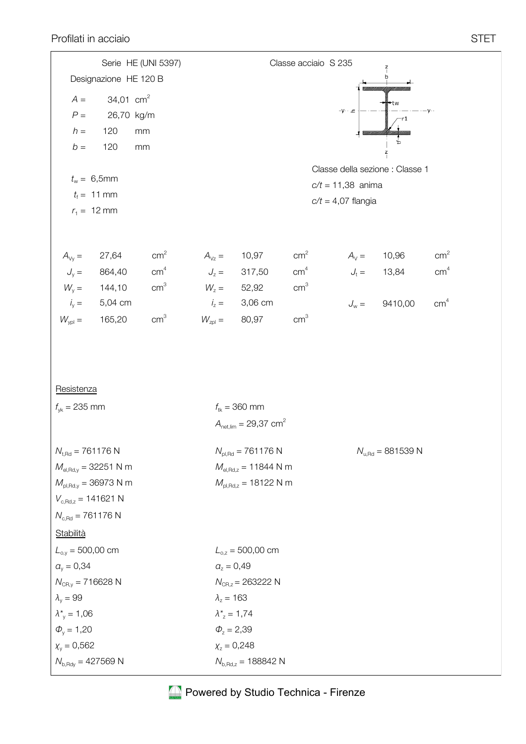|                                                |                                  | Serie HE (UNI 5397) |                   |                                                                |                 | Classe acciaio S 235 |               |                                       |                 |  |
|------------------------------------------------|----------------------------------|---------------------|-------------------|----------------------------------------------------------------|-----------------|----------------------|---------------|---------------------------------------|-----------------|--|
|                                                | Designazione HE 120 B            |                     |                   |                                                                |                 |                      |               | b                                     |                 |  |
| $A =$                                          | 34,01 $\text{cm}^2$              |                     |                   |                                                                |                 |                      |               | −tw                                   |                 |  |
| $P =$                                          | 26,70 kg/m                       |                     |                   |                                                                |                 | –γ- · <u>ح</u>       |               |                                       |                 |  |
| $h =$                                          | 120                              | $\rm mm$            |                   |                                                                |                 |                      |               |                                       |                 |  |
| $b =$                                          | 120                              | mm                  |                   |                                                                |                 |                      |               | $\frac{z}{1}$                         |                 |  |
|                                                |                                  |                     |                   |                                                                |                 |                      |               | Classe della sezione : Classe 1       |                 |  |
|                                                | $t_w = 6,5$ mm                   |                     |                   |                                                                |                 | $c/t = 11,38$ anima  |               |                                       |                 |  |
|                                                | $t_{\rm f} = 11 \text{ mm}$      |                     |                   |                                                                |                 | $c/t = 4.07$ flangia |               |                                       |                 |  |
|                                                | $r_1 = 12 \text{ mm}$            |                     |                   |                                                                |                 |                      |               |                                       |                 |  |
|                                                |                                  |                     |                   |                                                                |                 |                      |               |                                       |                 |  |
| $A_{\vee y} =$                                 | 27,64                            | cm <sup>2</sup>     | $A_{\vee z} =$    | 10,97                                                          | cm <sup>2</sup> |                      |               | $A_v = 10,96$                         | cm <sup>2</sup> |  |
|                                                | $J_y = 864,40$                   | cm <sup>4</sup>     | $J_z =$           | 317,50                                                         | cm <sup>4</sup> |                      |               | $J_t = 13,84$                         | cm <sup>4</sup> |  |
| $W_{y} =$                                      | 144,10                           | cm <sup>3</sup>     | $W_z =$           | 52,92                                                          | cm <sup>3</sup> |                      |               |                                       |                 |  |
| $i_{y} =$                                      | 5,04 cm                          |                     | $i_z =$           | 3,06 cm                                                        |                 |                      | $J_{\rm w} =$ | 9410,00                               | cm <sup>4</sup> |  |
| $W_{\text{ypl}} =$                             | 165,20                           | cm <sup>3</sup>     | $W_{zpl} =$       | 80,97                                                          | cm <sup>3</sup> |                      |               |                                       |                 |  |
|                                                |                                  |                     |                   |                                                                |                 |                      |               |                                       |                 |  |
|                                                |                                  |                     |                   |                                                                |                 |                      |               |                                       |                 |  |
| Resistenza                                     |                                  |                     |                   |                                                                |                 |                      |               |                                       |                 |  |
|                                                |                                  |                     |                   |                                                                |                 |                      |               |                                       |                 |  |
| $f_{yk} = 235$ mm                              |                                  |                     |                   | $f_{tk} = 360$ mm<br>$A_{\text{net,lim}} = 29,37 \text{ cm}^2$ |                 |                      |               |                                       |                 |  |
|                                                |                                  |                     |                   |                                                                |                 |                      |               |                                       |                 |  |
| $N_{t, Rd} = 761176 N$                         |                                  |                     |                   | $N_{\text{pl,Rd}} = 761176 \text{ N}$                          |                 |                      |               | $N_{u, \text{Rd}} = 881539 \text{ N}$ |                 |  |
|                                                | $M_{el, Rd, y} = 32251$ N m      |                     |                   | $M_{el, Rd, z} = 11844$ N m                                    |                 |                      |               |                                       |                 |  |
|                                                | $M_{\text{pl,Rd},y} = 36973$ N m |                     |                   | $M_{\text{pl,Rd,z}} = 18122 \text{ N m}$                       |                 |                      |               |                                       |                 |  |
| $V_{c, Rd, z} = 141621 N$                      |                                  |                     |                   |                                                                |                 |                      |               |                                       |                 |  |
| $N_{\rm c,Rd} = 761176$ N                      |                                  |                     |                   |                                                                |                 |                      |               |                                       |                 |  |
| <b>Stabilità</b>                               |                                  |                     |                   |                                                                |                 |                      |               |                                       |                 |  |
| $L_{o,y} = 500,00$ cm                          |                                  |                     |                   | $L_{0,z} = 500,00$ cm                                          |                 |                      |               |                                       |                 |  |
| $a_v = 0,34$                                   |                                  |                     |                   | $a_z = 0,49$                                                   |                 |                      |               |                                       |                 |  |
| $N_{CR,z}$ = 263222 N<br>$N_{CR,y} = 716628$ N |                                  |                     |                   |                                                                |                 |                      |               |                                       |                 |  |
| $\lambda_{v} = 99$                             |                                  |                     | $\lambda_z = 163$ |                                                                |                 |                      |               |                                       |                 |  |
| $\lambda^*_{v} = 1,06$                         |                                  |                     |                   | $\lambda_{z}^{*} = 1,74$                                       |                 |                      |               |                                       |                 |  |
| $\Phi_{v} = 1,20$                              |                                  |                     | $\Phi_z = 2,39$   |                                                                |                 |                      |               |                                       |                 |  |
| $X_v = 0,562$                                  |                                  |                     |                   | $X_z = 0,248$                                                  |                 |                      |               |                                       |                 |  |
| $N_{b, Rdy} = 427569$ N                        |                                  |                     |                   | $N_{b, Rd, z} = 188842$ N                                      |                 |                      |               |                                       |                 |  |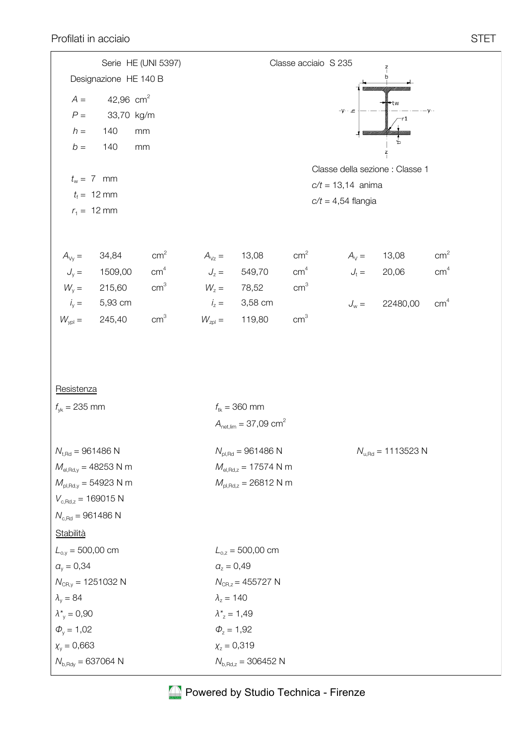|                                          | Serie HE (UNI 5397)     |                 |                           | Classe acciaio S 235                      |                 |                                        |               |                 |  |  |  |
|------------------------------------------|-------------------------|-----------------|---------------------------|-------------------------------------------|-----------------|----------------------------------------|---------------|-----------------|--|--|--|
|                                          | Designazione HE 140 B   |                 |                           |                                           |                 |                                        |               |                 |  |  |  |
| $A =$                                    | 42,96 $cm2$             |                 |                           |                                           |                 |                                        |               |                 |  |  |  |
| $P =$                                    | 33,70 kg/m              |                 |                           |                                           |                 | = <i>γ</i> - ∙ γ−                      |               |                 |  |  |  |
| $h =$                                    | 140                     | mm              |                           |                                           |                 |                                        |               |                 |  |  |  |
| $b =$                                    | 140                     | mm              |                           |                                           |                 |                                        | $\frac{z}{1}$ |                 |  |  |  |
|                                          |                         |                 |                           |                                           |                 | Classe della sezione : Classe 1        |               |                 |  |  |  |
| $t_w = 7$ mm                             |                         |                 |                           |                                           |                 | $c/t = 13,14$ anima                    |               |                 |  |  |  |
| $t_{\rm f} = 12 \, \rm mm$               |                         |                 |                           |                                           |                 | $c/t = 4,54$ flangia                   |               |                 |  |  |  |
| $r_1 = 12 \text{ mm}$                    |                         |                 |                           |                                           |                 |                                        |               |                 |  |  |  |
|                                          |                         |                 |                           |                                           |                 |                                        |               |                 |  |  |  |
| $A_{\vee y} =$                           | 34,84                   | cm <sup>2</sup> | $A_{Vz} =$                | 13,08                                     | cm <sup>2</sup> |                                        | $A_v = 13,08$ | cm <sup>2</sup> |  |  |  |
| $J_{y} =$                                | 1509,00                 | cm <sup>4</sup> |                           | $J_z = 549,70$                            | cm <sup>4</sup> |                                        | $J_t = 20,06$ | cm <sup>4</sup> |  |  |  |
| $W_{y} =$                                | 215,60                  | cm <sup>3</sup> | $W_z = 78,52$             |                                           | cm <sup>3</sup> |                                        |               |                 |  |  |  |
|                                          | $i_y = 5,93 \text{ cm}$ |                 |                           | $i_7 = 3,58$ cm                           |                 | $J_{\rm w} =$                          | 22480,00      | cm <sup>4</sup> |  |  |  |
| $W_{ypl} =$                              | 245,40                  | cm <sup>3</sup> | $W_{\text{zpl}} =$        | 119,80                                    | cm <sup>3</sup> |                                        |               |                 |  |  |  |
|                                          |                         |                 |                           |                                           |                 |                                        |               |                 |  |  |  |
|                                          |                         |                 |                           |                                           |                 |                                        |               |                 |  |  |  |
|                                          |                         |                 |                           |                                           |                 |                                        |               |                 |  |  |  |
| Resistenza                               |                         |                 |                           |                                           |                 |                                        |               |                 |  |  |  |
| $f_{\gamma k} = 235$ mm                  |                         |                 |                           | $f_{tk} = 360$ mm                         |                 |                                        |               |                 |  |  |  |
|                                          |                         |                 |                           | $A_{\text{net,lim}} = 37,09 \text{ cm}^2$ |                 |                                        |               |                 |  |  |  |
| $N_{t, Rd} = 961486 N$                   |                         |                 |                           | $N_{\text{pl,Rd}} = 961486 \text{ N}$     |                 | $N_{u, \text{Rd}} = 1113523 \text{ N}$ |               |                 |  |  |  |
| $M_{el, Rd, y} = 48253 N m$              |                         |                 |                           | $M_{el, Rd, z} = 17574 N m$               |                 |                                        |               |                 |  |  |  |
| $M_{\text{pl,Rd,y}} = 54923 \text{ N m}$ |                         |                 |                           | $M_{\text{pl,Rd,z}} = 26812 \text{ N m}$  |                 |                                        |               |                 |  |  |  |
| $V_{c, Rd, z} = 169015 N$                |                         |                 |                           |                                           |                 |                                        |               |                 |  |  |  |
| $N_{c, Rd} = 961486 N$                   |                         |                 |                           |                                           |                 |                                        |               |                 |  |  |  |
| <b>Stabilità</b>                         |                         |                 |                           |                                           |                 |                                        |               |                 |  |  |  |
| $L_{o,y} = 500,00$ cm                    |                         |                 |                           | $L_{o,z} = 500,00$ cm                     |                 |                                        |               |                 |  |  |  |
| $a_v = 0,34$                             |                         |                 | $\alpha_{z} = 0,49$       |                                           |                 |                                        |               |                 |  |  |  |
| $N_{\text{CR,y}} = 1251032 \text{ N}$    |                         |                 |                           | $N_{\text{CR},z} = 455727 \text{ N}$      |                 |                                        |               |                 |  |  |  |
| $\lambda_{v} = 84$                       |                         |                 |                           | $\lambda_z = 140$                         |                 |                                        |               |                 |  |  |  |
| $\lambda^*_{v} = 0,90$                   |                         |                 |                           | $\lambda_{z}^{*} = 1,49$                  |                 |                                        |               |                 |  |  |  |
| $\Phi_{v} = 1,02$                        |                         |                 | $\Phi_z = 1,92$           |                                           |                 |                                        |               |                 |  |  |  |
| $X_v = 0,663$                            | $X_z = 0,319$           |                 |                           |                                           |                 |                                        |               |                 |  |  |  |
| $N_{b, Rdy} = 637064$ N                  |                         |                 | $N_{b, Rd, z} = 306452$ N |                                           |                 |                                        |               |                 |  |  |  |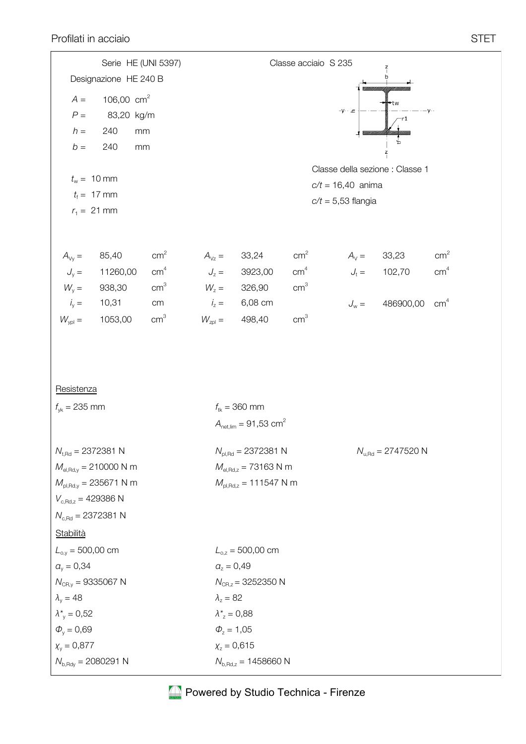Serie HE (UNI 5397)

|                                        | Serie HE (UNI 5397)                      |                 |                    |                                             | Classe acciaio S 235 |                |                         |                 |  |  |  |  |
|----------------------------------------|------------------------------------------|-----------------|--------------------|---------------------------------------------|----------------------|----------------|-------------------------|-----------------|--|--|--|--|
|                                        | Designazione HE 240 B                    |                 |                    |                                             |                      |                |                         |                 |  |  |  |  |
| $A =$                                  | 106,00 $cm2$                             |                 |                    |                                             |                      |                | ⊦tw                     |                 |  |  |  |  |
| $P =$                                  | 83,20 kg/m                               |                 |                    |                                             |                      | =γ- ۰ <u>⊂</u> | ·r1                     |                 |  |  |  |  |
| $h =$                                  | 240<br>mm                                |                 |                    |                                             |                      |                |                         |                 |  |  |  |  |
| $b =$                                  | 240<br>mm                                |                 |                    |                                             |                      |                | $\frac{z}{1}$           |                 |  |  |  |  |
|                                        |                                          |                 |                    |                                             |                      |                |                         |                 |  |  |  |  |
|                                        | $t_w = 10$ mm                            |                 |                    | Classe della sezione : Classe 1             |                      |                |                         |                 |  |  |  |  |
|                                        | $t_{\rm f} = 17 \text{ mm}$              |                 |                    | $c/t = 16,40$ anima<br>$c/t = 5,53$ flangia |                      |                |                         |                 |  |  |  |  |
|                                        | $r_1 = 21$ mm                            |                 |                    |                                             |                      |                |                         |                 |  |  |  |  |
| $A_{\vee y} =$                         | 85,40                                    | cm <sup>2</sup> | $A_{Vz} =$         | 33,24                                       | cm <sup>2</sup>      | $A_V =$        | 33,23                   | cm <sup>2</sup> |  |  |  |  |
| $J_{y} =$                              | 11260,00                                 | cm <sup>4</sup> | $J_z =$            | 3923,00                                     | cm <sup>4</sup>      |                | $J_t = 102,70$          | cm <sup>4</sup> |  |  |  |  |
| $W_{y} =$                              | 938,30                                   | cm <sup>3</sup> | $W_z =$            | 326,90                                      | $\text{cm}^3$        |                |                         |                 |  |  |  |  |
| $i_y =$                                | 10,31                                    | cm              | $i_z =$            | 6,08 cm                                     |                      | $J_{\rm w} =$  | 486900,00               | cm <sup>4</sup> |  |  |  |  |
| $W_{\text{ypl}} =$                     | 1053,00                                  | cm <sup>3</sup> | $W_{\text{zpl}} =$ | 498,40                                      | cm <sup>3</sup>      |                |                         |                 |  |  |  |  |
| Resistenza<br>$f_{\gamma k} = 235$ mm  |                                          |                 |                    | $f_{tk} = 360$ mm                           |                      |                |                         |                 |  |  |  |  |
|                                        |                                          |                 |                    | $A_{\text{net,lim}} = 91,53 \text{ cm}^2$   |                      |                |                         |                 |  |  |  |  |
| $N_{t, \text{Rd}} = 2372381 \text{ N}$ |                                          |                 |                    | $N_{\text{pl,Rd}} = 2372381 \text{ N}$      |                      |                | $N_{u, Rd} = 2747520$ N |                 |  |  |  |  |
|                                        | $M_{el, Rd, y} = 210000$ N m             |                 |                    | $M_{el, Rd, z} = 73163$ N m                 |                      |                |                         |                 |  |  |  |  |
| $V_{c, Rd, z} = 429386$ N              | $M_{\rm pl, Rd, y} = 235671 \text{ N m}$ |                 |                    | $M_{\text{pl,Rd,z}} = 111547 \text{ N m}$   |                      |                |                         |                 |  |  |  |  |
| $N_{c, Rd} = 2372381$ N                |                                          |                 |                    |                                             |                      |                |                         |                 |  |  |  |  |
| <b>Stabilità</b>                       |                                          |                 |                    |                                             |                      |                |                         |                 |  |  |  |  |
| $L_{o,y} = 500,00$ cm                  |                                          |                 |                    | $L_{o,z} = 500,00$ cm                       |                      |                |                         |                 |  |  |  |  |
| $a_v = 0,34$                           |                                          |                 |                    | $a_z = 0,49$                                |                      |                |                         |                 |  |  |  |  |
| $N_{\text{CR,y}} = 9335067 \text{ N}$  |                                          |                 |                    | $N_{CR,z}$ = 3252350 N                      |                      |                |                         |                 |  |  |  |  |
| $\lambda_{v} = 48$                     |                                          |                 | $\lambda_z = 82$   |                                             |                      |                |                         |                 |  |  |  |  |
| $\lambda^*_{v} = 0.52$                 |                                          |                 |                    | $\lambda^*$ = 0,88                          |                      |                |                         |                 |  |  |  |  |
| $\Phi_{v} = 0,69$                      |                                          |                 |                    | $\Phi_z = 1,05$                             |                      |                |                         |                 |  |  |  |  |
| $X_v = 0,877$                          |                                          |                 |                    | $X_z = 0,615$                               |                      |                |                         |                 |  |  |  |  |
| $N_{\rm b, Rdy} = 2080291$ N           |                                          |                 |                    | $N_{\rm b, Rd, z} = 1458660$ N              |                      |                |                         |                 |  |  |  |  |

Classe acciaio S 235